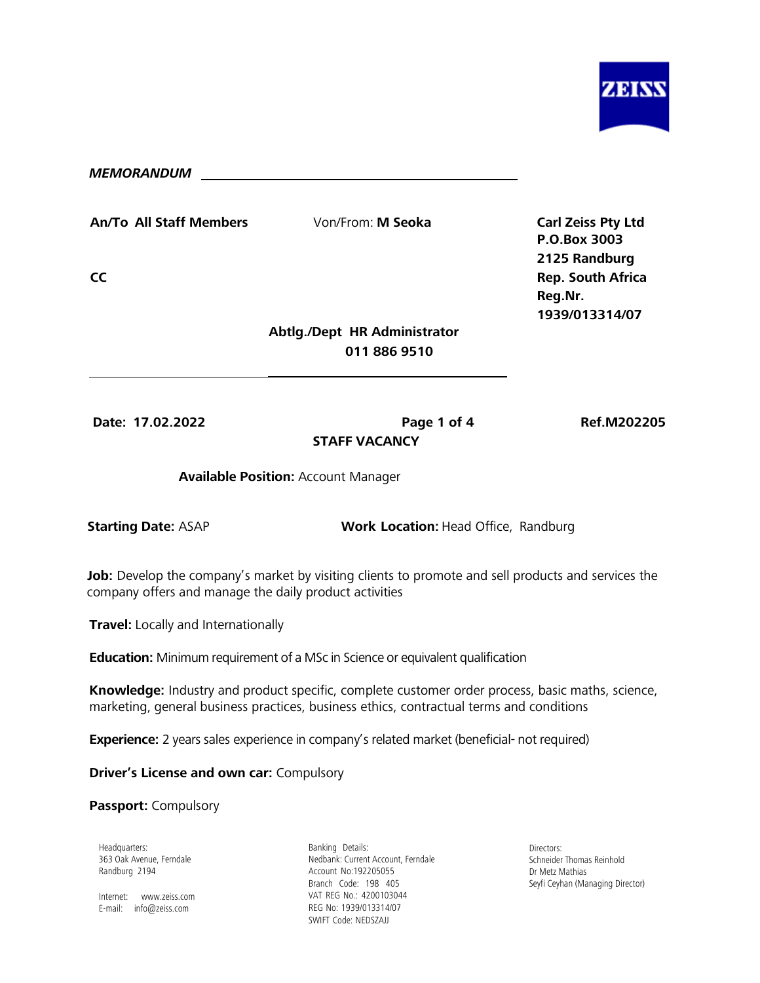

*MEMORANDUM* 

**An/To All Staff Members** Von/From: **M Seoka Carl Zeiss Pty Ltd**

**Abtlg./Dept HR Administrator**

**011 886 9510**

**P.O.Box 3003 2125 Randburg CC Rep. South Africa Reg.Nr. 1939/013314/07**

**Date: 17.02.2022 Page 1 of 4 Ref.M202205 STAFF VACANCY**

**Available Position:** Account Manager

**Starting Date:** ASAP **Work Location:** Head Office, Randburg

**Job:** Develop the company's market by visiting clients to promote and sell products and services the company offers and manage the daily product activities

**Travel:** Locally and Internationally

**Education:** Minimum requirement of a MSc in Science or equivalent qualification

**Knowledge:** Industry and product specific, complete customer order process, basic maths, science, marketing, general business practices, business ethics, contractual terms and conditions

**Experience:** 2 years sales experience in company's related market (beneficial- not required)

**Driver's License and own car:** Compulsory

**Passport:** Compulsory

Headquarters: 363 Oak Avenue, Ferndale Randburg 2194

Internet: [www.zeiss.com](http://www.zeiss.com/) E-mail: [info@zeiss.com](mailto:info@zeiss.com)

Banking Details: Nedbank: Current Account, Ferndale Account No:192205055 Branch Code: 198 405 VAT REG No.: 4200103044 REG No: 1939/013314/07 SWIFT Code: NEDSZAJJ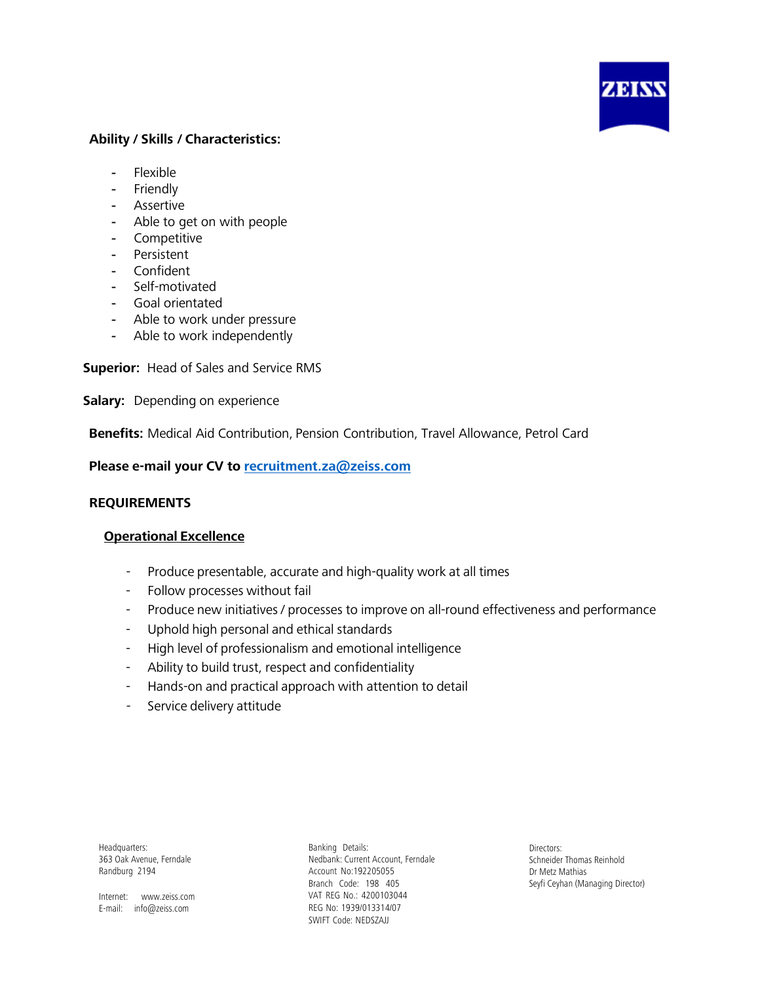

## **Ability / Skills / Characteristics:**

- Flexible
- Friendly
- Assertive
- Able to get on with people
- Competitive
- Persistent
- Confident
- Self-motivated
- Goal orientated
- Able to work under pressure
- Able to work independently

**Superior:** Head of Sales and Service RMS

**Salary:** Depending on experience

**Benefits:** Medical Aid Contribution, Pension Contribution, Travel Allowance, Petrol Card

**Please e-mail your CV to [recruitment.za@zeiss.com](mailto:recruitment.za@zeiss.com)**

## **REQUIREMENTS**

## **Operational Excellence**

- Produce presentable, accurate and high-quality work at all times
- Follow processes without fail
- Produce new initiatives / processes to improve on all-round effectiveness and performance
- Uphold high personal and ethical standards
- High level of professionalism and emotional intelligence
- Ability to build trust, respect and confidentiality
- Hands-on and practical approach with attention to detail
- Service delivery attitude

Headquarters: 363 Oak Avenue, Ferndale Randburg 2194

Internet: [www.zeiss.com](http://www.zeiss.com/) E-mail: [info@zeiss.com](mailto:info@zeiss.com)

Banking Details: Nedbank: Current Account, Ferndale Account No:192205055 Branch Code: 198 405 VAT REG No.: 4200103044 REG No: 1939/013314/07 SWIFT Code: NEDSZAJJ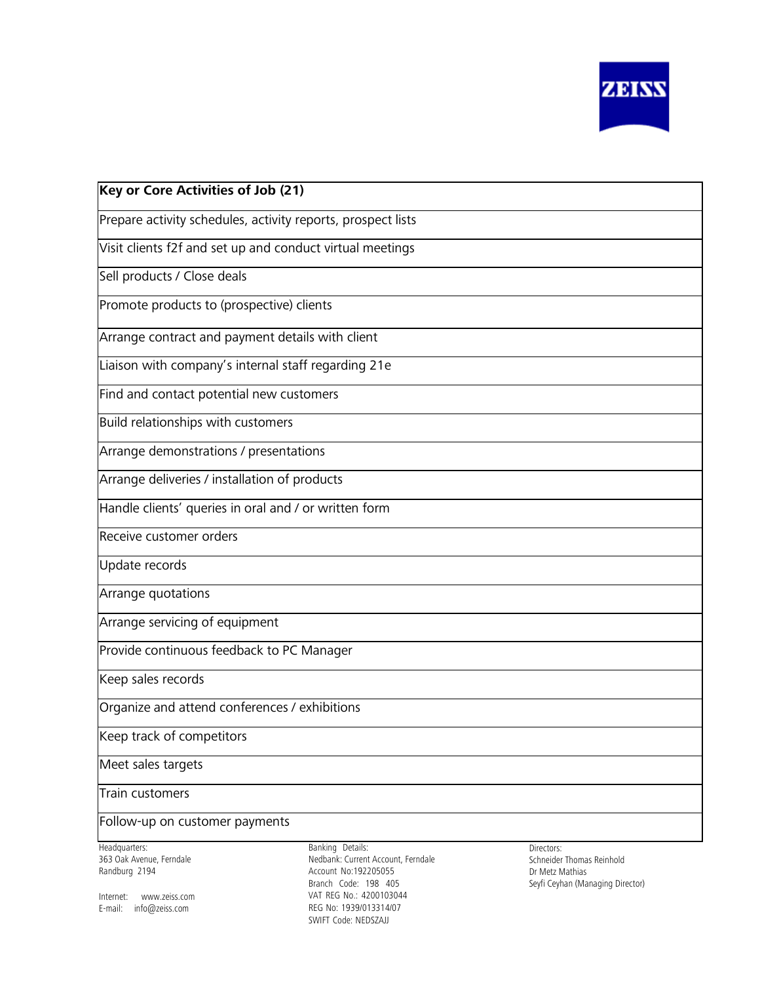

| <b>Key or Core Activities of Job (21)</b>                    |
|--------------------------------------------------------------|
| Prepare activity schedules, activity reports, prospect lists |
| Visit clients f2f and set up and conduct virtual meetings    |
| Sell products / Close deals                                  |
| Promote products to (prospective) clients                    |
| Arrange contract and payment details with client             |
| Liaison with company's internal staff regarding 21e          |
| Find and contact potential new customers                     |
| Build relationships with customers                           |
| Arrange demonstrations / presentations                       |
| Arrange deliveries / installation of products                |
| Handle clients' queries in oral and / or written form        |
| Receive customer orders                                      |
| Update records                                               |
| Arrange quotations                                           |
| Arrange servicing of equipment                               |
| Provide continuous feedback to PC Manager                    |
| Keep sales records                                           |
| Organize and attend conferences / exhibitions                |
| Keep track of competitors                                    |
| Meet sales targets                                           |
| Train customers                                              |
| Follow-up on customer payments                               |

Headquarters: 363 Oak Avenue, Ferndale Randburg 2194

Banking Details: Nedbank: Current Account, Ferndale Account No:192205055 Branch Code: 198 405 VAT REG No.: 4200103044 REG No: 1939/013314/07 SWIFT Code: NEDSZAJJ